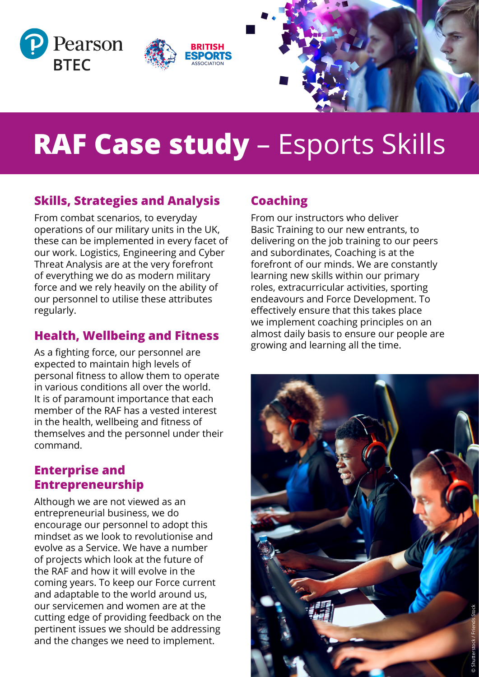

# **RAF Case study** – Esports Skills

# **Skills, Strategies and Analysis**

From combat scenarios, to everyday operations of our military units in the UK, these can be implemented in every facet of our work. Logistics, Engineering and Cyber Threat Analysis are at the very forefront of everything we do as modern military force and we rely heavily on the ability of our personnel to utilise these attributes regularly.

# **Health, Wellbeing and Fitness**

As a fighting force, our personnel are expected to maintain high levels of personal fitness to allow them to operate in various conditions all over the world. It is of paramount importance that each member of the RAF has a vested interest in the health, wellbeing and fitness of themselves and the personnel under their command.

#### **Enterprise and Entrepreneurship**

Although we are not viewed as an entrepreneurial business, we do encourage our personnel to adopt this mindset as we look to revolutionise and evolve as a Service. We have a number of projects which look at the future of the RAF and how it will evolve in the coming years. To keep our Force current and adaptable to the world around us, our servicemen and women are at the cutting edge of providing feedback on the pertinent issues we should be addressing and the changes we need to implement.

# **Coaching**

From our instructors who deliver Basic Training to our new entrants, to delivering on the job training to our peers and subordinates, Coaching is at the forefront of our minds. We are constantly learning new skills within our primary roles, extracurricular activities, sporting endeavours and Force Development. To effectively ensure that this takes place we implement coaching principles on an almost daily basis to ensure our people are growing and learning all the time.